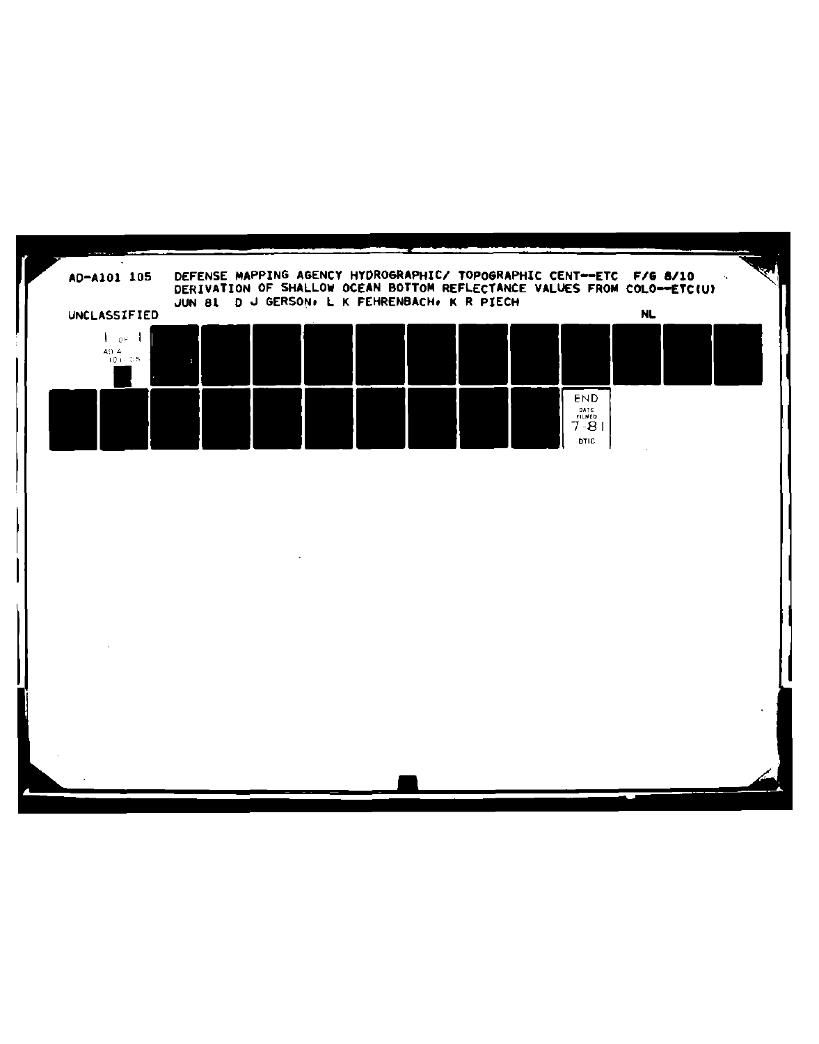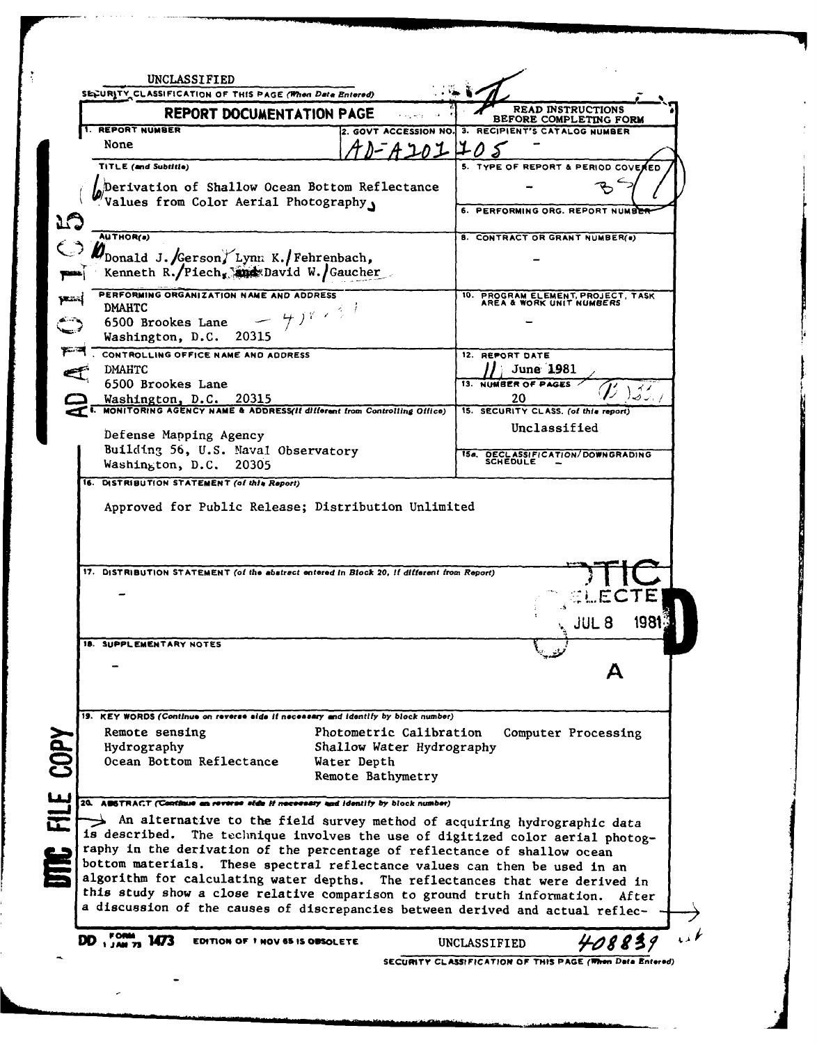| <b>REPORT DOCUMENTATION PAGE</b>                                                                                                                                                                                                                                                                                                                                                                                                                                                                                                                                                                                                                                                                                                                                                                                                                                                                                                 |                                  | <b>READ INSTRUCTIONS</b><br>BEFORE COMPLETING FORM          |                      |  |
|----------------------------------------------------------------------------------------------------------------------------------------------------------------------------------------------------------------------------------------------------------------------------------------------------------------------------------------------------------------------------------------------------------------------------------------------------------------------------------------------------------------------------------------------------------------------------------------------------------------------------------------------------------------------------------------------------------------------------------------------------------------------------------------------------------------------------------------------------------------------------------------------------------------------------------|----------------------------------|-------------------------------------------------------------|----------------------|--|
| <b>REPORT NUMBER</b>                                                                                                                                                                                                                                                                                                                                                                                                                                                                                                                                                                                                                                                                                                                                                                                                                                                                                                             |                                  | 2. GOVT ACCESSION NO. 3. RECIPIENT'S CATALOG NUMBER         |                      |  |
| None                                                                                                                                                                                                                                                                                                                                                                                                                                                                                                                                                                                                                                                                                                                                                                                                                                                                                                                             | ハーA ユのユ ユの                       |                                                             |                      |  |
| TITLE (and Subtitle)                                                                                                                                                                                                                                                                                                                                                                                                                                                                                                                                                                                                                                                                                                                                                                                                                                                                                                             |                                  | 5. TYPE OF REPORT & PERIOD COVER                            |                      |  |
| Derivation of Shallow Ocean Bottom Reflectance                                                                                                                                                                                                                                                                                                                                                                                                                                                                                                                                                                                                                                                                                                                                                                                                                                                                                   |                                  |                                                             |                      |  |
| Values from Color Aerial Photography                                                                                                                                                                                                                                                                                                                                                                                                                                                                                                                                                                                                                                                                                                                                                                                                                                                                                             |                                  |                                                             |                      |  |
|                                                                                                                                                                                                                                                                                                                                                                                                                                                                                                                                                                                                                                                                                                                                                                                                                                                                                                                                  |                                  | 6. PERFORMING ORG. REPORT NUMBER                            |                      |  |
| <b>AUTHOR(a)</b>                                                                                                                                                                                                                                                                                                                                                                                                                                                                                                                                                                                                                                                                                                                                                                                                                                                                                                                 |                                  | 8. CONTRACT OR GRANT NUMBER(.)                              |                      |  |
|                                                                                                                                                                                                                                                                                                                                                                                                                                                                                                                                                                                                                                                                                                                                                                                                                                                                                                                                  |                                  |                                                             |                      |  |
| Donald J. Gerson, Lynn K. Fehrenbach,<br>Kenneth R./Piech, and David W./Gaucher                                                                                                                                                                                                                                                                                                                                                                                                                                                                                                                                                                                                                                                                                                                                                                                                                                                  |                                  |                                                             |                      |  |
| PERFORMING ORGANIZATION NAME AND ADDRESS<br><b>DMAHTC</b>                                                                                                                                                                                                                                                                                                                                                                                                                                                                                                                                                                                                                                                                                                                                                                                                                                                                        |                                  | 10. PROGRAM ELEMENT, PROJECT, TASK AREA & WORK UNIT NUMBERS |                      |  |
| $458 \times 10^{-1}$<br>6500 Brookes Lane                                                                                                                                                                                                                                                                                                                                                                                                                                                                                                                                                                                                                                                                                                                                                                                                                                                                                        |                                  |                                                             |                      |  |
| Washington, D.C. 20315                                                                                                                                                                                                                                                                                                                                                                                                                                                                                                                                                                                                                                                                                                                                                                                                                                                                                                           |                                  |                                                             |                      |  |
| CONTROLLING OFFICE NAME AND ADDRESS                                                                                                                                                                                                                                                                                                                                                                                                                                                                                                                                                                                                                                                                                                                                                                                                                                                                                              |                                  | 12. REPORT DATE                                             |                      |  |
| <b>DMAHTC</b>                                                                                                                                                                                                                                                                                                                                                                                                                                                                                                                                                                                                                                                                                                                                                                                                                                                                                                                    |                                  | June 1981                                                   |                      |  |
| 6500 Brookes Lane                                                                                                                                                                                                                                                                                                                                                                                                                                                                                                                                                                                                                                                                                                                                                                                                                                                                                                                |                                  | 13. NUMBER OF PAGES                                         |                      |  |
| Washington, D.C. 20315<br>MONITORING AGENCY NAME & ADDRESS(If different from Controlling Office)                                                                                                                                                                                                                                                                                                                                                                                                                                                                                                                                                                                                                                                                                                                                                                                                                                 |                                  | 20                                                          |                      |  |
|                                                                                                                                                                                                                                                                                                                                                                                                                                                                                                                                                                                                                                                                                                                                                                                                                                                                                                                                  |                                  | 15. SECURITY CLASS. (of this report)                        |                      |  |
| Defense Mapping Agency                                                                                                                                                                                                                                                                                                                                                                                                                                                                                                                                                                                                                                                                                                                                                                                                                                                                                                           |                                  | Unclassified                                                |                      |  |
| Building 56, U.S. Maval Observatory                                                                                                                                                                                                                                                                                                                                                                                                                                                                                                                                                                                                                                                                                                                                                                                                                                                                                              |                                  | DECLASSIFICATION/DOWNGRADING<br>15a. .                      |                      |  |
| Washington, D.C. 20305                                                                                                                                                                                                                                                                                                                                                                                                                                                                                                                                                                                                                                                                                                                                                                                                                                                                                                           |                                  | SCHEDULE                                                    |                      |  |
|                                                                                                                                                                                                                                                                                                                                                                                                                                                                                                                                                                                                                                                                                                                                                                                                                                                                                                                                  |                                  |                                                             |                      |  |
| Approved for Public Release; Distribution Unlimited                                                                                                                                                                                                                                                                                                                                                                                                                                                                                                                                                                                                                                                                                                                                                                                                                                                                              |                                  |                                                             | <b>LECTE</b>         |  |
|                                                                                                                                                                                                                                                                                                                                                                                                                                                                                                                                                                                                                                                                                                                                                                                                                                                                                                                                  |                                  |                                                             | <b>JUL 8</b><br>1981 |  |
|                                                                                                                                                                                                                                                                                                                                                                                                                                                                                                                                                                                                                                                                                                                                                                                                                                                                                                                                  |                                  |                                                             |                      |  |
|                                                                                                                                                                                                                                                                                                                                                                                                                                                                                                                                                                                                                                                                                                                                                                                                                                                                                                                                  |                                  |                                                             |                      |  |
|                                                                                                                                                                                                                                                                                                                                                                                                                                                                                                                                                                                                                                                                                                                                                                                                                                                                                                                                  |                                  |                                                             |                      |  |
|                                                                                                                                                                                                                                                                                                                                                                                                                                                                                                                                                                                                                                                                                                                                                                                                                                                                                                                                  |                                  |                                                             |                      |  |
|                                                                                                                                                                                                                                                                                                                                                                                                                                                                                                                                                                                                                                                                                                                                                                                                                                                                                                                                  |                                  |                                                             |                      |  |
|                                                                                                                                                                                                                                                                                                                                                                                                                                                                                                                                                                                                                                                                                                                                                                                                                                                                                                                                  | Photometric Calibration          |                                                             | Computer Processing  |  |
|                                                                                                                                                                                                                                                                                                                                                                                                                                                                                                                                                                                                                                                                                                                                                                                                                                                                                                                                  | Shallow Water Hydrography        |                                                             |                      |  |
|                                                                                                                                                                                                                                                                                                                                                                                                                                                                                                                                                                                                                                                                                                                                                                                                                                                                                                                                  | Water Depth<br>Remote Bathymetry |                                                             |                      |  |
|                                                                                                                                                                                                                                                                                                                                                                                                                                                                                                                                                                                                                                                                                                                                                                                                                                                                                                                                  |                                  |                                                             |                      |  |
|                                                                                                                                                                                                                                                                                                                                                                                                                                                                                                                                                                                                                                                                                                                                                                                                                                                                                                                                  |                                  |                                                             |                      |  |
|                                                                                                                                                                                                                                                                                                                                                                                                                                                                                                                                                                                                                                                                                                                                                                                                                                                                                                                                  |                                  |                                                             |                      |  |
| The technique involves the use of digitized color aerial photog-                                                                                                                                                                                                                                                                                                                                                                                                                                                                                                                                                                                                                                                                                                                                                                                                                                                                 |                                  |                                                             |                      |  |
|                                                                                                                                                                                                                                                                                                                                                                                                                                                                                                                                                                                                                                                                                                                                                                                                                                                                                                                                  |                                  |                                                             |                      |  |
|                                                                                                                                                                                                                                                                                                                                                                                                                                                                                                                                                                                                                                                                                                                                                                                                                                                                                                                                  |                                  |                                                             |                      |  |
|                                                                                                                                                                                                                                                                                                                                                                                                                                                                                                                                                                                                                                                                                                                                                                                                                                                                                                                                  |                                  |                                                             |                      |  |
|                                                                                                                                                                                                                                                                                                                                                                                                                                                                                                                                                                                                                                                                                                                                                                                                                                                                                                                                  |                                  |                                                             |                      |  |
| 16. DISTRIBUTION STATEMENT (of this Report)<br>17. DISTRIBUTION STATEMENT (of the abatract entered in Block 20, if different from Report)<br><b>18. SUPPLEMENTARY NOTES</b><br>19. KEY WORDS (Continue on reverse side if necessary and identify by block number)<br>Remote sensing<br>Hydrography<br>Ocean Bottom Reflectance<br>20. ABSTRACT (Continue on reverse side if necessary and identify by block number)<br>An alternative to the field survey method of acquiring hydrographic data<br>is described.<br>raphy in the derivation of the percentage of reflectance of shallow ocean<br>bottom materials. These spectral reflectance values can then be used in an<br>algorithm for calculating water depths. The reflectances that were derived in<br>this study show a close relative comparison to ground truth information. After<br>a discussion of the causes of discrepancies between derived and actual reflec- |                                  |                                                             | 408839               |  |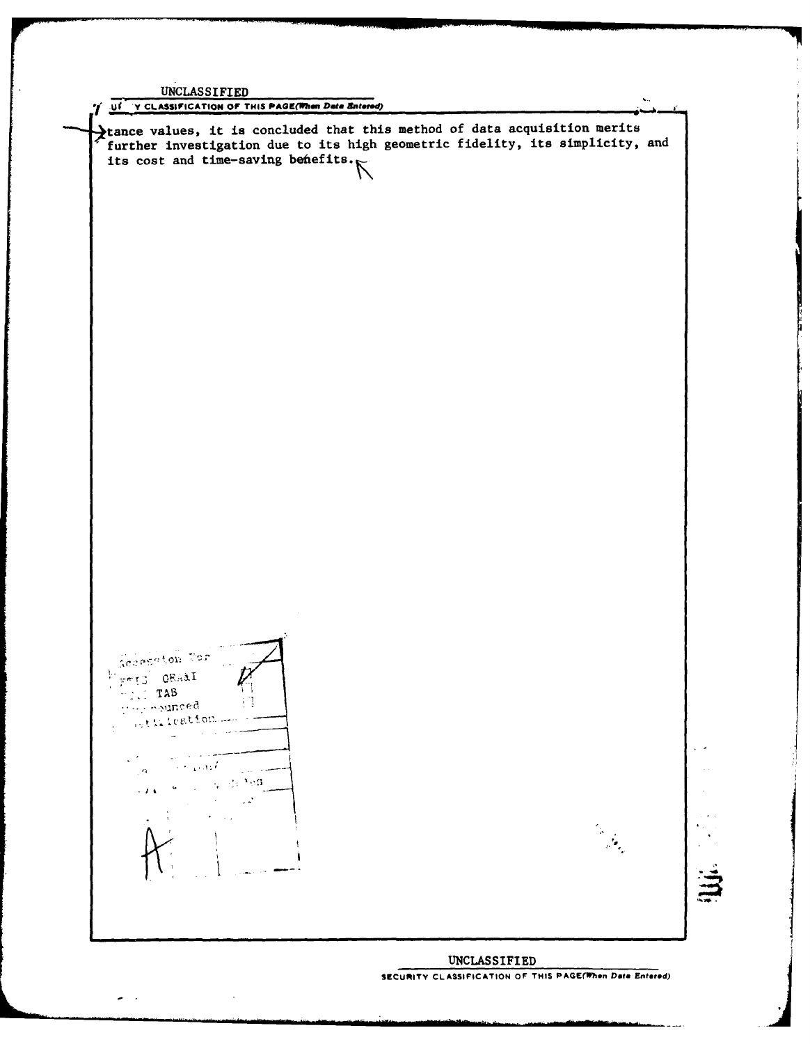UNCLASSIFIED  $\ddotsc$ **S.Uf "Y CLASSIFICATION OF THIS PAGOE(Phan** *Data* **Entered)** tance values, it is concluded that this method of data acquisition merits further investigation due to its high geometric fidelity, its simplicity, and further investigation ---<br>its cost and time-saving befiefits. Secreton for Frid ORAAL **TAB**<br>They counced -13 (j **o** J.  $\ddot{\phantom{a}}$  $\sim$  $\sim 100$  km  $\ell$  $\alpha$  $\omega_{\rm c} \gtrsim 2.98$  $\ddot{\phantom{a}}$  $\mathcal{L}_{\rm{in}}$  $\cdot$   $\cdot$   $\cdot$  $\bar{\gamma}$ دير  $\ddot{\phantom{a}}$ **UNCLASSIFIED**

**SECURITY CLASSIFICATION OF THIS PAGE(When Data Entered)** 

 $\ddot{\phantom{a}}$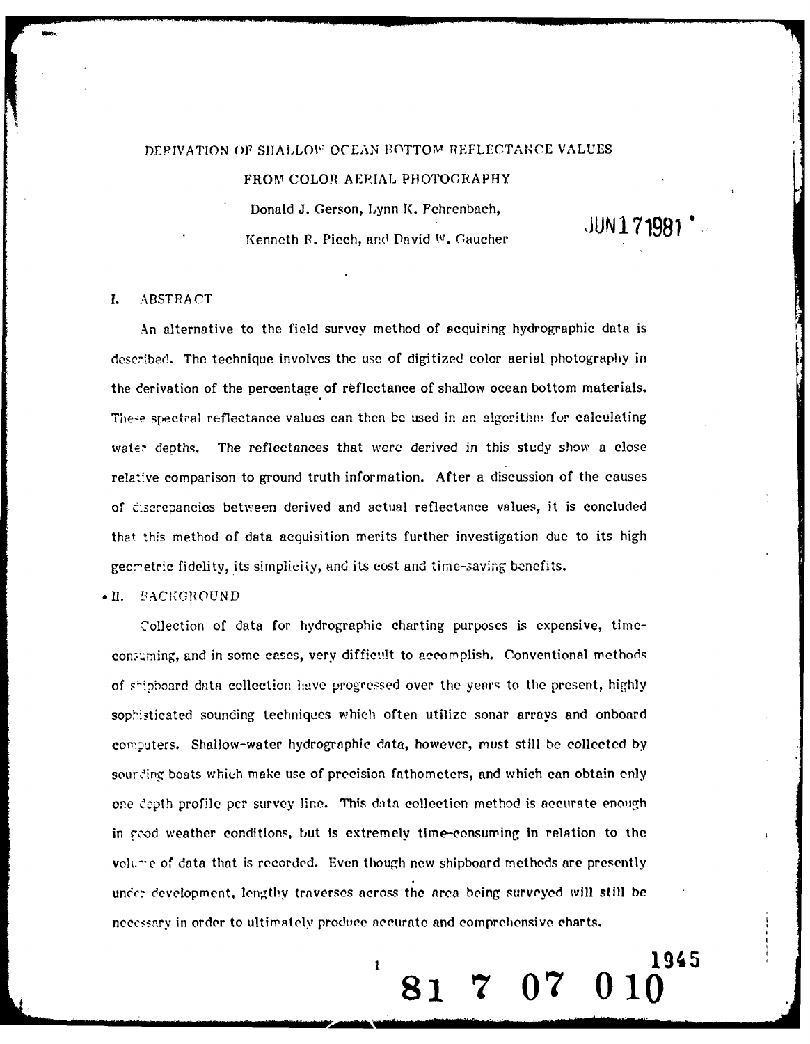#### DEPIVATION OF SHALLOW OCEAN BOTTOM REFLECTANCE VALUES

FROM COLOR AERIAL PHOTOGRAPHY

Donald J. Gerson, Lynn K. Fehrenbach, **JUN 171981** Kenneth R. Piech, and David W. Gaucher

**19805**

### **1.** ABSTRACT

An alternative to the field survey method of acquiring hydrographic data is described. The technique involves the use of digitized color aerial photography in the derivation of the percentage of reflcctance of shallow ocean bottom materials. These spectral reflectance values can then be used in an algorithm for calculating water depths. The reflectances that were derived in this study show a close relative comparison to ground truth information. After a discussion of the causes of e's.crepancics between derived and actual reflectance values, it is concluded that this method of data acquisition merits further investigation due to its high gecmetric fidelity, its simplicity, and its cost and *time-saving benefits*.

#### $\bullet$  II. BACKGROUND

Collection of data for hydrographic charting purposes is expensive, timeconsuming, and in some cases, very difficult to accomplish. Conventional methods of shipboard data collection have progressed over the years to the present, highly sophisticated sounding techniques which often utilize sonar arrays and onboard computers. Shallow-water hydrographic data, however, must still be collected by sour ding boats which make use of precision fathometers, and which can obtain only one depth profile per survey line. This data collection method is accurate enough in good weather conditions, but is extremely time-consuming in relation to the volu--e of data that is recorded. Even though new shipboard methods are presently under development, lengthy traverses across the area being surveyed will still be nccesarv in order to ultimately produce accurate and comprehensive charts.

 $\begin{array}{ccc} \text{R1} & \text{R2} & \text{R3} \\ \text{R1} & \text{R1} & \text{R2} & \text{R3} \end{array}$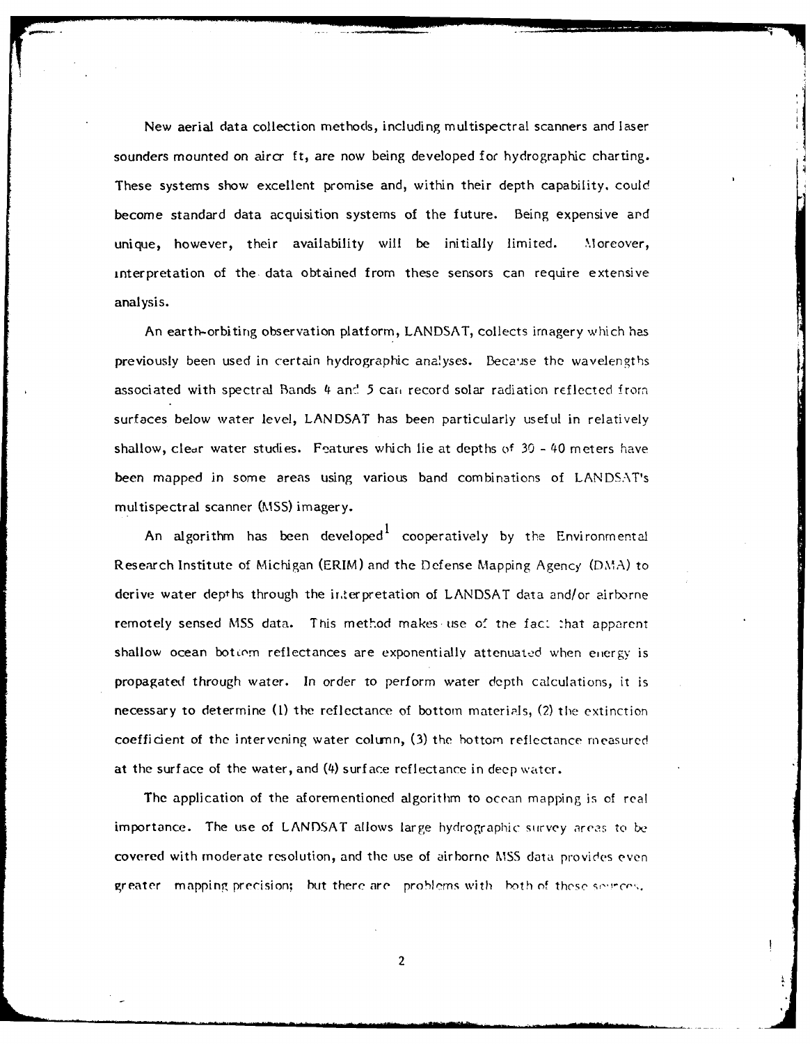New aerial data collection methods, including multispectral scanners and laser sounders mounted on aircr ft, are now being developed for hydrographic charting. These systems show excellent promise and, within their depth capability, could become standard data acquisition systems of the future. Being expensive and unique, however, their availability will be initially limited. Moreover, interpretation of the. data obtained from these sensors can require extensive analysis.

An earth-orbiting observation platform, LANDSAT, collects imagery which has previously been used in certain hydrographic analyses. Because the wavelengths associated with spectral Bands 4 and 5 can record solar radiation reflected from surfaces below water level, LANDSAT has been particularly useful in relatively shallow, clear water studies. Fe atures which lie at depths **of** 30 - 40 meters have been mapped in some areas using various band combinations of LANDSAT's multispectral scanner (MSS) imagery.

I An algorithm has been developed $^{\mathrm{t}}$  cooperatively by the Environmental Research Institute of Michigan (ERIM) and the Defense Mapping Agency (DMA) to derive water depths through the irterpretation of LANDSAT data and/or airborne remotely sensed MSS data. This method makes use of the fact that apparent shallow ocean bottom reflectances are exponentially attenuated when eijergy is propagated through water. In order to perform water depth calculations, it is necessary to determine (1) the reflectance of bottom materials, (2) the extinction coefficient of the intervening water column, (3) the bottom reflectance measured at the surface of the water, and (4) surface reflectance in deep water.

The application of the aforementioned algorithm to ocean mapping is of real importance. The use of LANDSAT allows large hydrographic survey areas to be covered with moderate resolution, and the use of airborne MSS data provides even greater mapping precision; but there are problems with both of these segrees.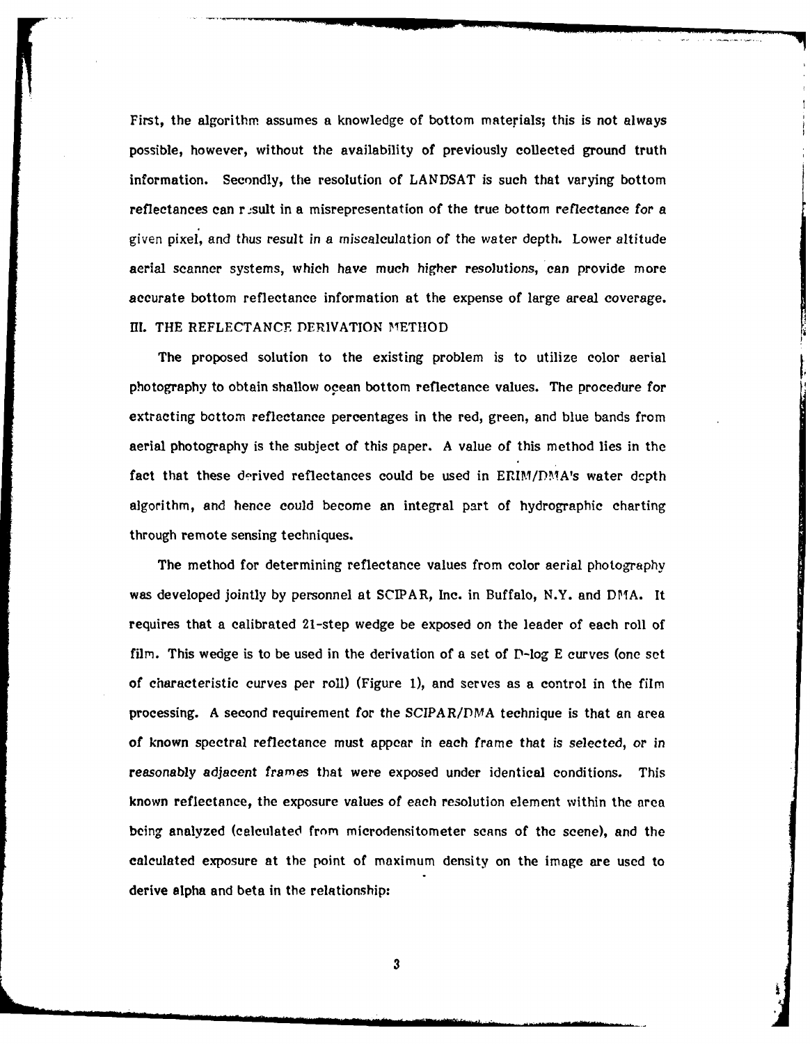First, the algorithm assumes a knowledge of bottom materials; this is not always possible, however, without the availability of previously collected ground truth information. Secondly, the resolution of **LANDSAT** is such that varying bottom reflectances can r ,sult in a misrepresentation of the true bottom reflectance for a given pixel, and thus result in a miscalculation of the water depth. Lower altitude aerial scanner systems, which have much higher resolutions, can provide more accurate bottom reflectance information at the expense of large areal coverage. **I1.** THE REFLECTANCE DERIVATION METHOD

The proposed solution to the existing problem is to utilize color aerial photography to obtain shallow ocean bottom reflectance values. The procedure for extracting bottom reflectance percentages in the red, green, and blue bands from aerial photography is the subject of this paper. A value of this method lies in the fact that these derived reflectances could be used in ERIM/DMA's water depth algorithm, and hence could become an integral part of hydrographic charting through remote sensing techniques.

The method for determining reflectance values from color aerial photography was developed jointly by personnel at SCIPAR, Inc. in Buffalo, N.Y. and DMA. It requires that a calibrated 21-step wedge be exposed on the leader of each roll **of** film. This wedge is to be used in the derivation of a set of  $\Gamma$ -log E curves (one set of characteristic curves per roll) (Figure **1),** and serves as a control in the film processing. A second requirement for the SCIPAR/DMA technique is that an area of known spectral reflectance must appear in each frame that is selected, or in reasonably adjacent frames that were exposed under identical conditions. This known reflectance, the exposure values of each resolution element within the area being analyzed (calculated from microdensitometer scans of the scene), and the calculated exposure at the point of maximum density on the image are used to derive alpha and beta in the relationship:

. The intervals of  $3$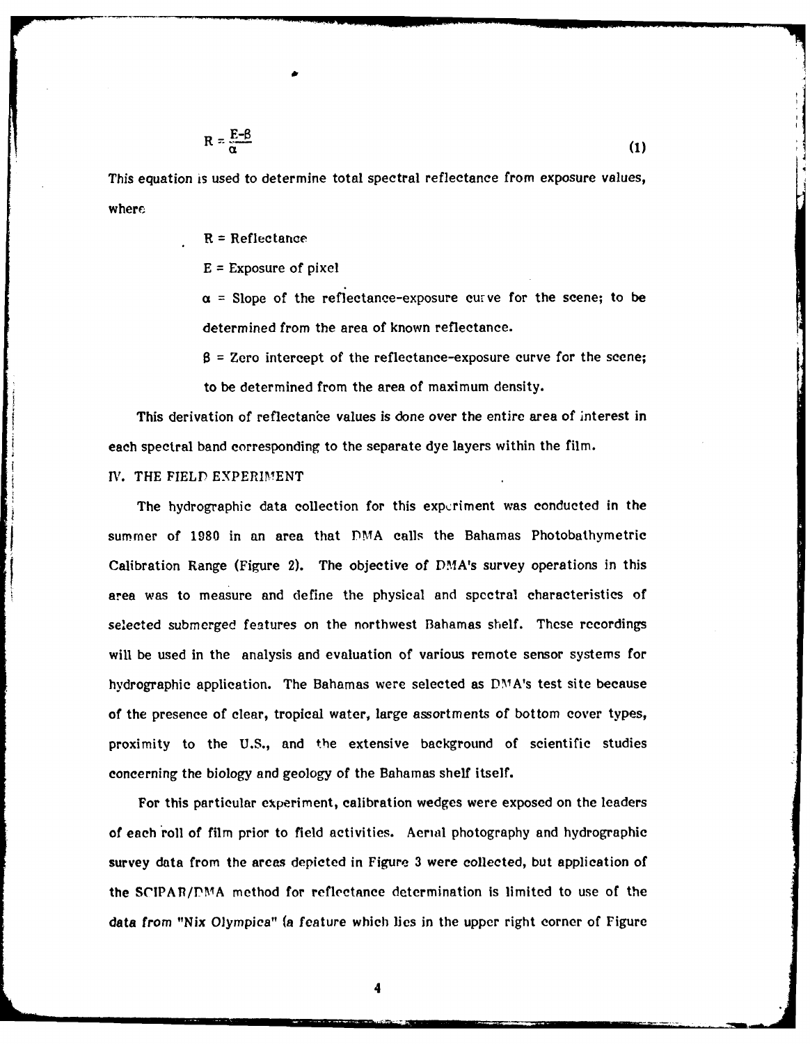$$
R = \frac{E - \beta}{\alpha} \tag{1}
$$

This equation is used to determine total spectral reflectance from exposure values, where

R **=** Reflectance

E **=** Exposure of pixel

 $\alpha$  = Slope of the reflectance-exposure curve for the scene; to be determined from the area of known reflectance.

 $\beta$  = Zero intercept of the reflectance-exposure curve for the scene; to be determined from the area of maximum density.

This derivation of reflectance values is done over the entire area of interest in each spectral band corresponding to the separate dye layers within the film.

IV. THE FIELD EXPERIMENT

The hydrographic data collection for this expcriment was conducted in the summer of **1980** in an area that **DMA** calls the Bahamas Photobathymetric Calibration Range (Figure 2). The objective of DMA's survey operations in this area was to measure and define the physical and spectral characteristics of selected submerged features on the northwest Bahamas shelf. These recordings will be used in the analysis and evaluation of various remote sensor systems for hydrographic application. The Bahamas were selected as DMA's test site because of the presence of clear, tropical water, large assortments of bottom cover types, proximity to the U.S., and the extensive background of scientific studies concerning the biology and geology of the Bahamas shelf itself.

For this particular experiment, calibration wedges were exposed on the leaders of each roll of film prior to field activities. Aerial photography and hydrographic survey data from the areas depicted in Figure 3 were collected, but application of the **SCIPAP/PMIA** method for reflectance determination is limited to use of the data from "Nix Olympica" (a feature which lies in the upper right corner of Figure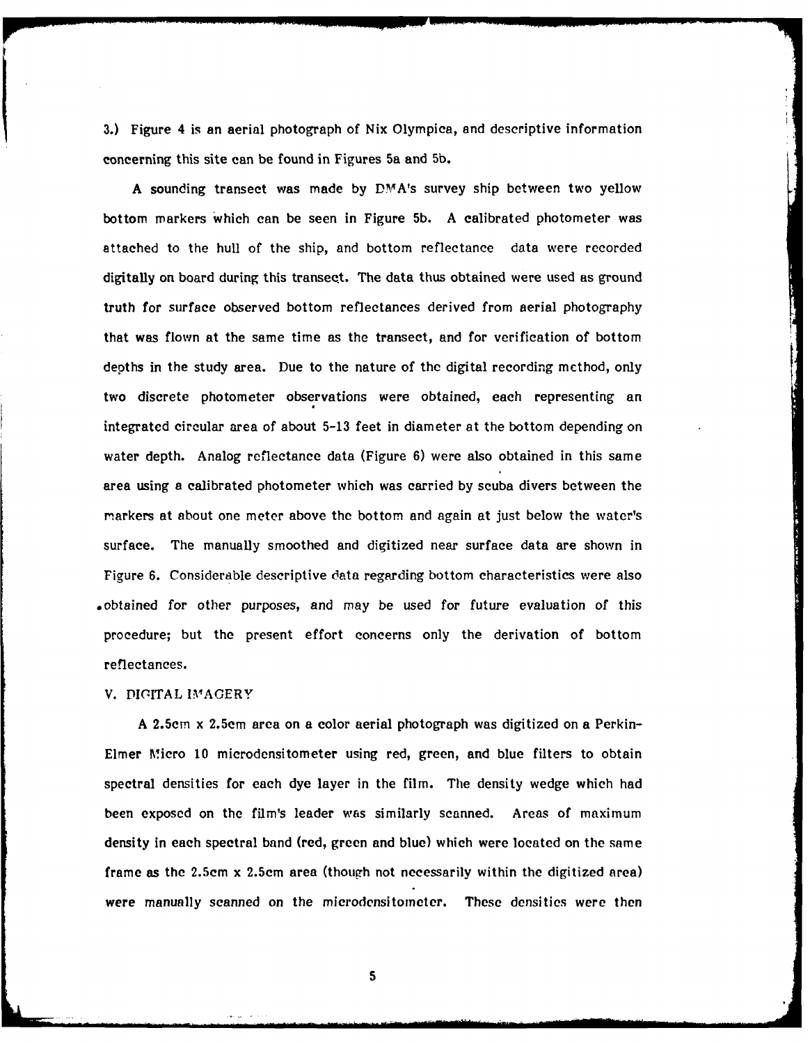3.) Figure 4 is an aerial photograph of Nix Olympica, and descriptive information concerning this site can be found in Figures 5a and **5b.**

A sounding transect was made by DMA's survey ship between two yellow bottom markers which can be seen in Figure **5b.** A calibrated photometer was attached to the hull of the ship, and bottom reflectance data were recorded digitally on board during this transect. The data thus obtained were used as ground truth for surface observed bottom reflectances derived from aerial photography that was flown at the same time as the transect, and for verification of bottom depths in the study area. Due to the nature of the digital recording method, only two discrete photometer observations were obtained, each representing an integrated circular area of about 5-13 feet in diameter at the bottom depending on water depth. Analog reflectance data (Figure 6) were also obtained in this same area using a calibrated photometer which was carried by scuba divers between the markers at about one meter above the bottom and again at just below the water's surface. The manually smoothed and digitized near surface data are shown in Figure 6. Considerable descriptive data regarding bottom characteristics were also .obtained for other purposes, and may be used for future evaluation of this procedure; but the present effort concerns only the derivation of bottom reflectances.

#### V. DIGITAL IMAGERY

A 2.5cm x 2.5cm area on a color aerial photograph was digitized on a Perkin-Elmer Micro **10** microdensitometer using red, green, and blue filters to obtain spectral densities for each dye layer in the film. The density wedge which had been exposed on the film's leader was similarly scanned. Areas of maximum density in each spectral band (red, green and blue) which were located on the same frame as the 2.5cm x 2.5cm area (though not necessarily within the digitized area) were manually scanned on the microdensitometer. These densities were then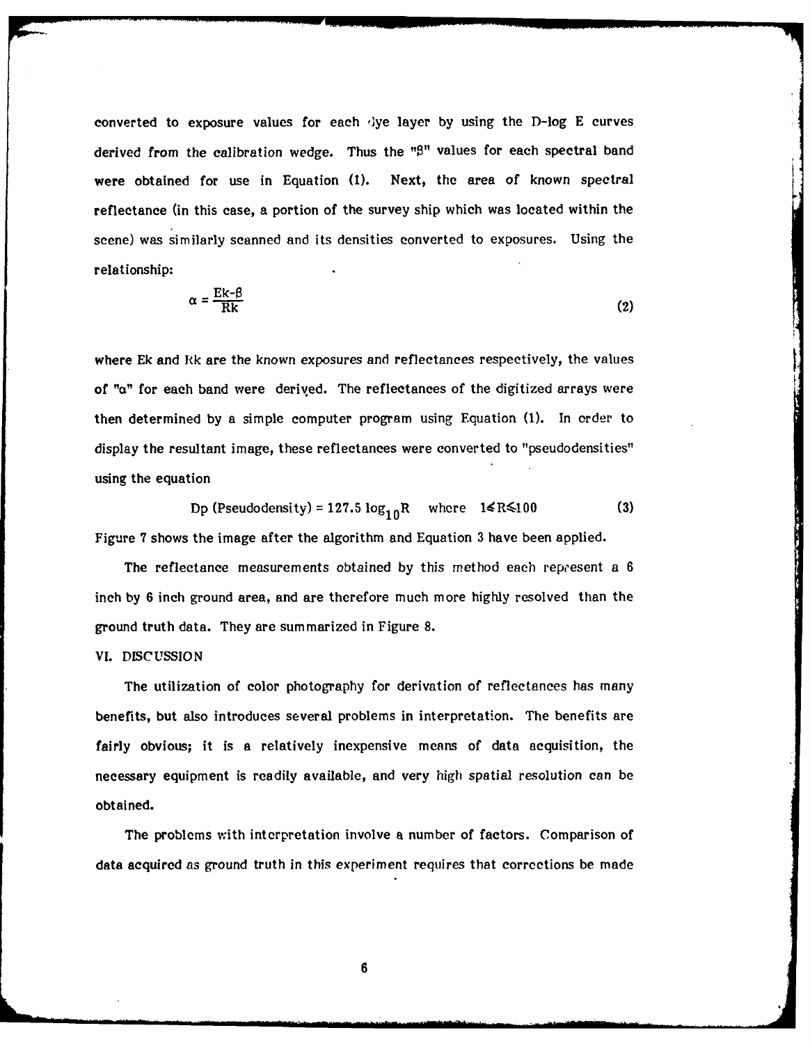converted to exposure values for each 'lye layer **by** using the D-log **E** curves derived from the calibration wedge. Thus the "<sup>8"</sup> values for each spectral band were obtained for use in Equation **(1).** Next, the area of known spectral reflectance (in this case, a portion of the survey ship which was located within the scene) was similarly scanned and its densities converted to exposures. Using the relationship:

$$
\alpha = \frac{\text{Ek}-\beta}{\text{Rk}} \tag{2}
$$

where Ek and Rk are the known exposures and reflectances respectively, the values of  $\alpha$ " for each band were derived. The reflectances of the digitized arrays were then determined by a simple computer program using Equation (1). In order to display the resultant image, these reflectances were converted to "pseudodensities" using the equation

Dp (Pseudodensity) =  $127.5 \log_{10} R$  where  $1 \le R \le 100$  (3) Figure 7 shows the image after the algorithm and Equation 3 have been applied.

The reflectance measurements obtained by this method each represent a 6 inch **by** 6 inch ground area, and are therefore much more highly resolved than the ground truth data. They are summarized in Figure 8.

### VI. DISCUSSION

The utilization of color photography for derivation of reflectances has many benefits, but also introduces several problems in interpretation. The benefits are fairly obvious; it is a relatively inexpensive means of data acquisition, the necessary equipment is readily available, and very high spatial resolution can be obtained.

The problems with interpretation involve a number of factors. Comparison of data acquired as ground truth in this experiment requires that corrections be made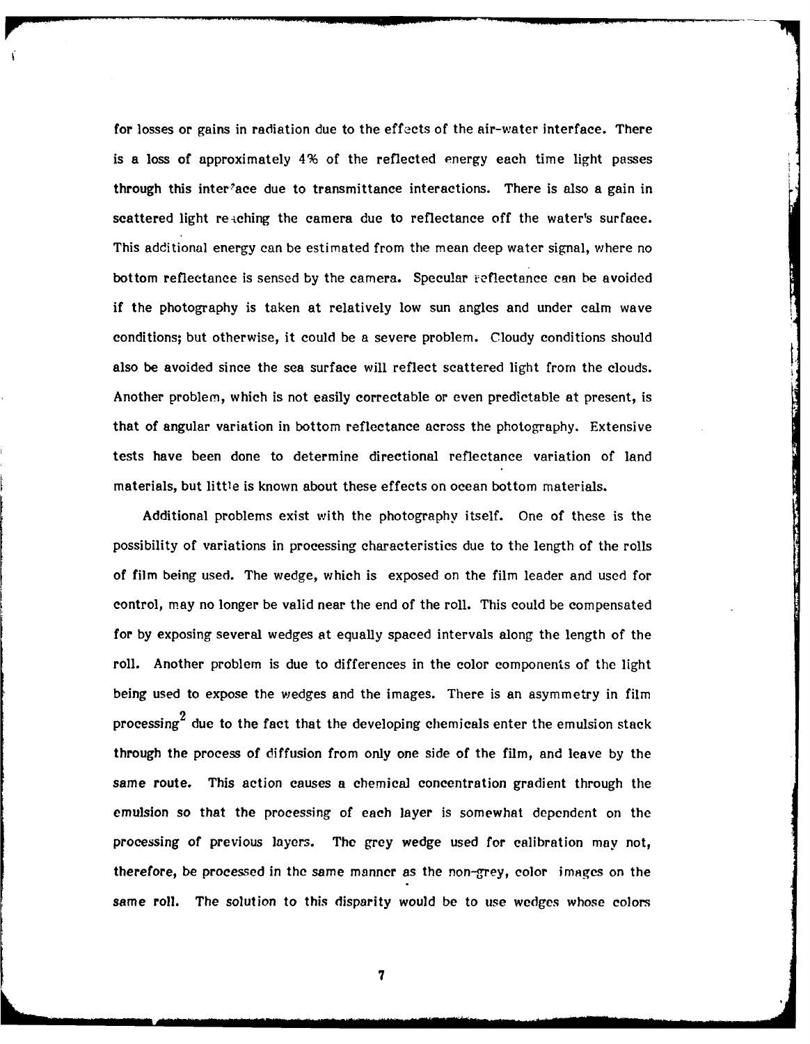for losses or gains in radiation due to the effects of the air-water interface. There is a loss of approximately 4% of the reflected energy each time light passes through this inter<sup>3</sup>ace due to transmittance interactions. There is also a gain in scattered light reaching the camera due to reflectance off the water's surface. This additional energy can be estimated from the mean deep water signal, where no bottom reflectance is sensed by the camera. Specular reflectance can be avoided if the photography is taken at relatively low sun angles and under calm wave conditions; but otherwise, it could be a severe problem. Cloudy conditions should also be avoided since the sea surface will reflect scattered light from the clouds. Another problem, which is not easily correctable or even predictable at present, is that of angular variation in bottom reflectance across the photography. Extensive tests have been done to determine directional reflectance variation of land materials, but little is known about these effects on ocean bottom materials.

Additional problems exist with the photography itself. One of these is the possibility of variations in processing characteristics due to the length of the rolls of film being used. The wedge, which is exposed on the film leader and used for control, may no longer be valid near the end of the roll. This could be compensated for **by** exposing several wedges at equally spaced intervals along the length of the roll. Another problem is due to differences in the color components of the light being used to expose the wedges and the images. There is an asymmetry in film processing<sup> $\boldsymbol{z}$ </sup> due to the fact that the developing chemicals enter the emulsion stack through the process of diffusion from only one side of the film, and leave **by** the same route. This action causes a chemical concentration gradient through the emulsion so that the processing of each layer is somewhat depcndent on the processing of previous layers. The grey wedge used for calibration may not, therefore, be processed in the same manner as the non-grey, color images on the same roll. The solution to this disparity would **be** to use wedges whose colors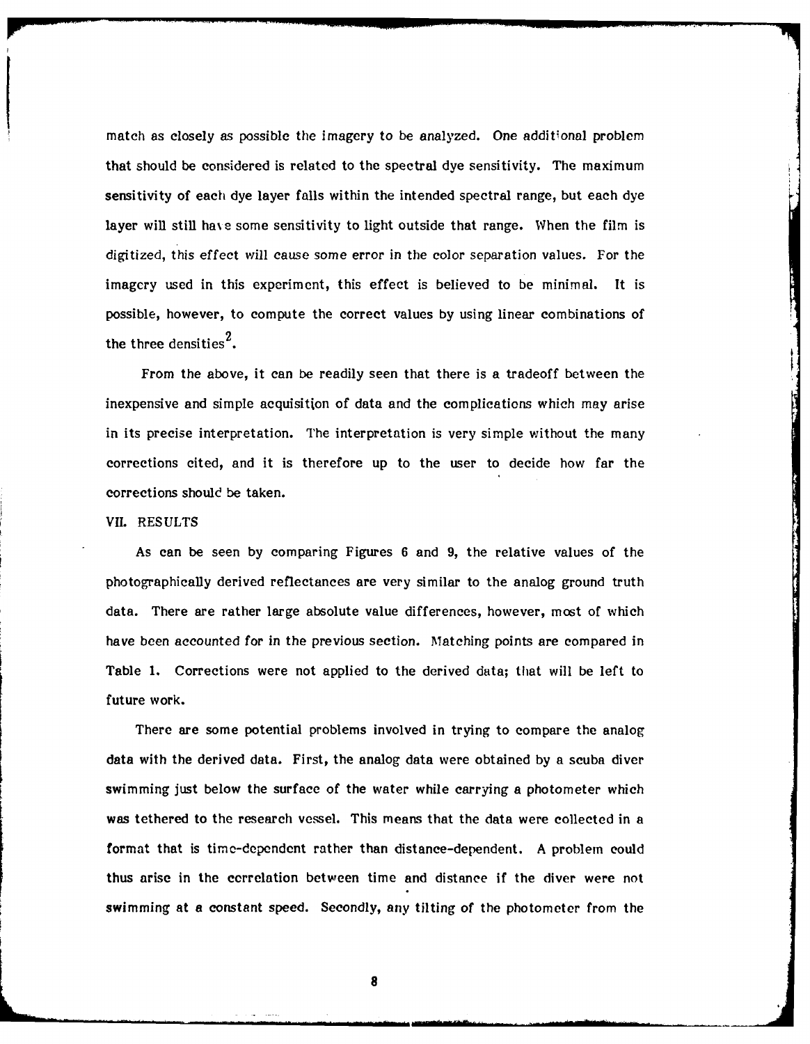match as closely as possible the imagery to be analyzed. One additional problem that should be considered is related to the spectral dye sensitivity. The maximum sensitivity of each dye layer falls within the intended spectral range, but each dye layer will still have some sensitivity to light outside that range. When the film is digitized, this effect will cause some error in the color separation values. For the imagery used in this experiment, this effect is believed to be minimal. It is possible, however, to compute the correct values **by** using linear combinations of the three densities<sup>2</sup>.

From the above, it can be readily seen that there is a tradeoff between the inexpensive and simple acquisition of data and the complications which may arise in its precise interpretation. The interpretation is very simple without the many corrections cited, and it is therefore up to the user to decide how far the corrections should be taken.

#### <sup>p</sup>VII. **RESULTS**

As can be seen **by** comparing Figures **6** and **9,** the relative values of the photographically derived reflectances are very similar to the analog ground truth data. There are rather large absolute value differences, however, most of which have been accounted for in the previous section. Matching points are compared in Table **1.** Corrections were not applied to the derived data; that will be left to future work.

There are some potential problems involved in trying to compare the analog data with the derived data. First, the analog data were obtained **by** a scuba diver swimming just below the surface of the water while carrying a photometer which **was** tethered to the research vessel. This means that the data were collected in a format that is time-dependent rather than distance-dependent. **A** problem could thus arise in the correlation between time and distance if the diver were not swimming at **a** constant speed. Secondly, any tilting of the photometer from the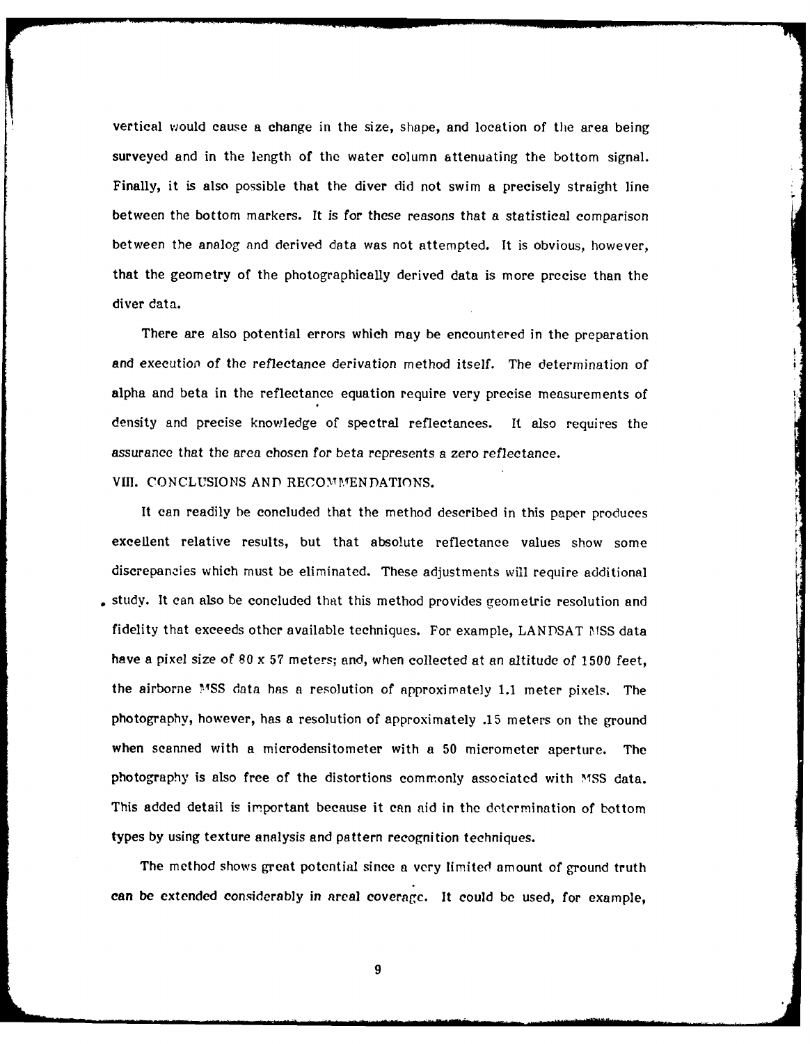vertical would cause a change in the size, shape, and location of the area being surveyed and in the length of the water column attenuating the bottom signal. Finally, it is also possible that the diver did not swim a precisely straight line between the bottom markers. It is for these reasons that a statistical comparison between the analog and derived data was not attempted. It is obvious, however, that the geometry of the photographically derived data is more precise than the diver data.

There are also potential errors which may be encountered in the preparation and executioo. of the reflectance derivation method itself. The determination of alpha and beta in the reflectance equation require very precise measurements of density and precise knowledge of spectral reflectances. It also requires the assurance that the area chosen for beta represents a zero reflectance.

VIII. CONCLUSIONS AND RECOMMENDATIONS.

It can readily be concluded that the method described in this paper produces excellent relative results, but that absolute reflectance values show some discrepancies which must be eliminated. These adjustments will require additional study. It can also be concluded that this method provides geometric resolution and fidelity that exceeds other available techniques. For example, LANDSAT MSS data have a pixel size of 80 x 57 meters; and, when collected at an altitude of 1500 feet, the airborne **",YSS** data has a resolution of approximately **1.1** meter pixels. The photography, however, has a resolution of approximately .15 meters on the ground when scanned with a microdensitometer with a 50 micrometer aperture. The photography is also free of the distortions commonly associated with MSS data. This added detail is important because it can aid in the determination of bottom types by using texture analysis and pattern recognition techniques.

The method shows great potential since a very limited amount of ground truth can be extended considerably in areal coverage. It could be used, for example,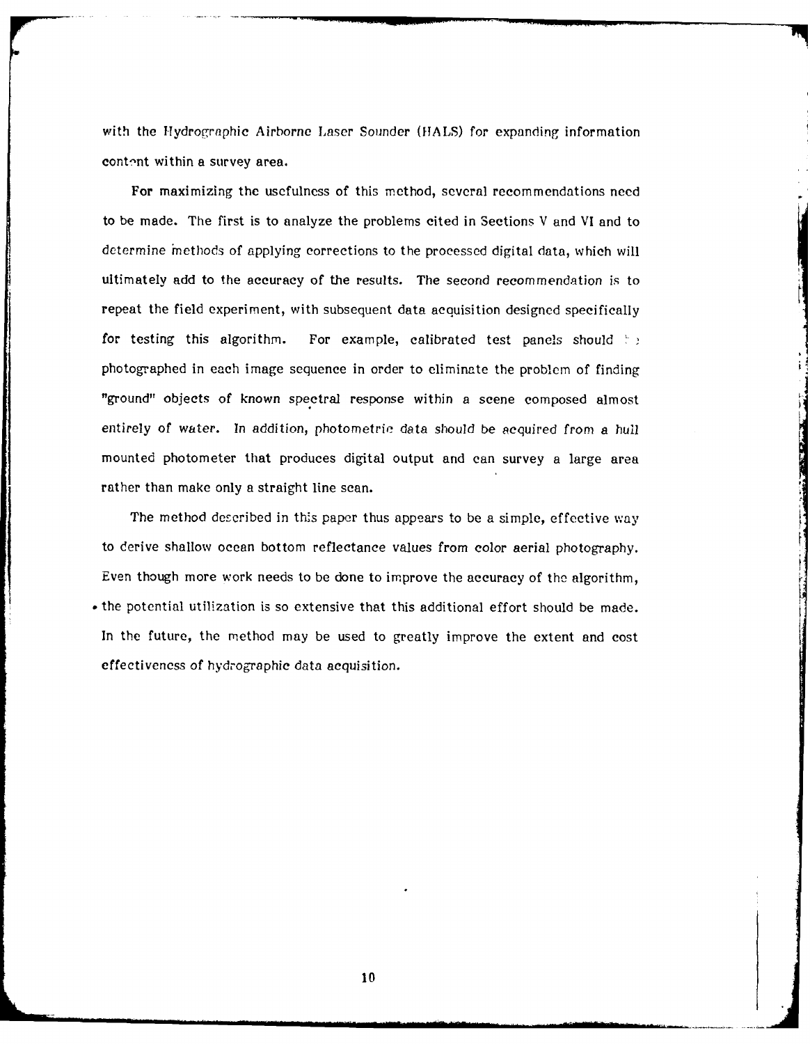with the Hydrographic Airborne Laser Sounder (HALS) for expanding information content within a survey area.

For maximizing the usefulness of this method, several recommendations need to be made. The first is to analyze the problems cited in Sections V and VI and to determine 'nethods of applying corrections to the processed digital data, which will ultimately add to the accuracy of the results. The second recommendation is to repeat the field experiment, with subsequent data acquisition designed specifically for testing this algorithm. For example, calibrated test panels should  $\ddot{\tau}$ photographed in each image sequence in order to eliminate the problem of finding "ground" objects of known spectral response within a scene composed almost entirely of water. In addition, photometric data should be acquired from a hull mounted photometer that produces digital output and can survey a large area rather than make only a straight line scan.

The method described in this paper thus appears to be a simple, effective way to derive shallow ocean bottom reflectance values from color aerial photography. Even though more work needs to be done to improve the accuracy of the algorithm, • the potential utilization is so extensive that this additional effort should be made. In the future, the method may be used to greatly improve the extent and cost effectiveness of hydrographic data acquisition.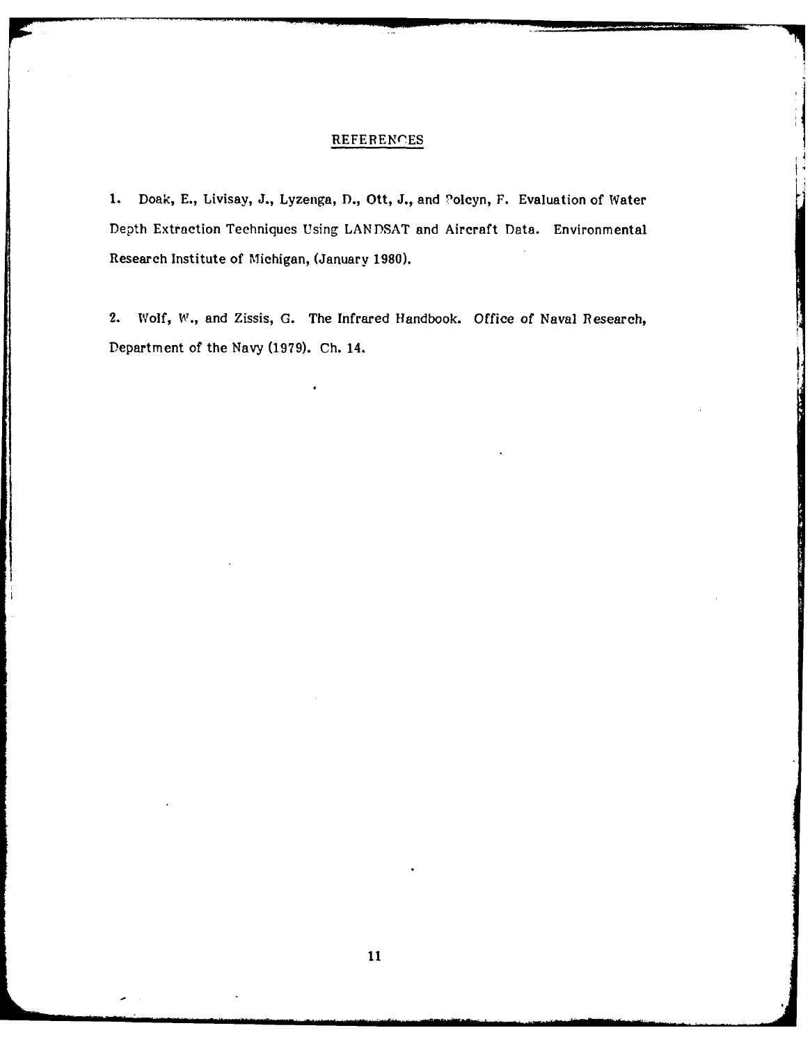## **REFERENCES**

**1.** Doak, **E.,** Livisay, **J.,** Lyzenga, **D.,** Ott, **J.,** and <sup>9</sup> olcyn, F. Evaluation of Water Depth Extraction Techniques Using **LANDSAT** and Aircraft Data. Environmental Research Institute of Michigan, (January **1980).**

2. Wolf, **W.,** and Zissis, **G.** The Infrared Handbook. Office of Naval Research, Department of the Navy **(1979). Ch.** 14.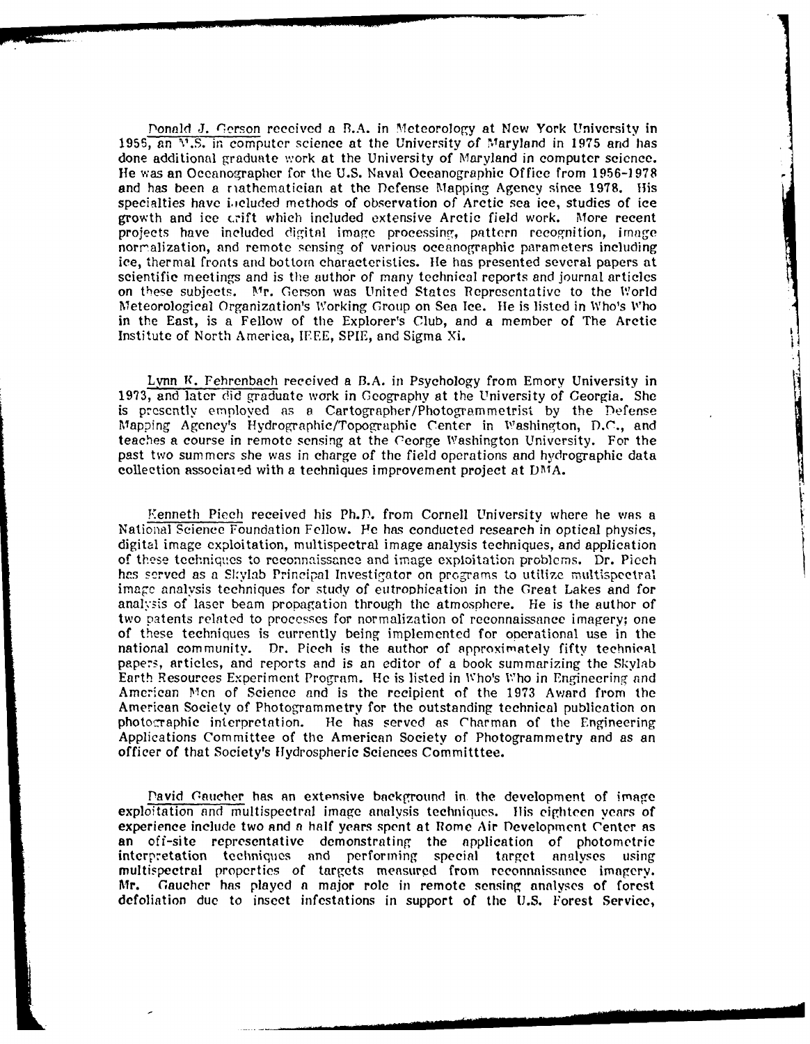Donald J. 'Terson received a **B.A.** in Meteorology at New York University in 1955, an  $\sqrt{1.5}$ , in computer science at the University of Maryland in 1975 and has done additional graduate work at the University of Maryland in computer science. Ile was an Oceanographer for the U.S. Naval Oceanographic Office from 1956-1978 and has been a riathematician at the Defense Mapping Agency since 1978. His specialties have i.icluded methods of observation of Arctic sea ice, studies of ice growth and ice crift which included extensive Arctic field work. More recent projects have included digital image processing, pattern recognition, image norralization, and remote sensing of various oceanographic parameters including ice, thermal fronts and bottom characteristics, lie has presented several papers at scientific meetings and is the author of many technical reports and journal articles on these subjects. Mr. Gerson was United States Representative to the World Meteorological Organization's Working Group on Sea Ice. He is listed in Who's Who in the East, is a Fellow of the Explorer's Club, and a member of The Arctic Institute of North America, IEEE, SPIE, and Sigma Xi.

Lynn **K**. Fehrenbach received a B.A. in Psychology from Emory University in 1973, and later did graduate work in Geography at the University of Georgia. She is prescntly employed as **a** Cartographer/Photogrammetrist by the Defense Mapping Agency's Hydrographic/Topographic Center in Washington, D.C., and teaches a course in remote sensing at the George Washington University. For the past two summers she was in charge of the field operations and hydrographic data collection associaied with a techniques improvement project at DMA.

**The Property of Property** 

'enneth Piech received his Ph.D. from Cornell University where he was a National Science Foundation Fellow. **Fe** has conducted research in optical physics, digital image exploitation, multispectral image analysis techniques, and application of these techniques to reconnaissance and image exploitation problems. Dr. Piech has served as a Skylab Principal Investigator on programs to utilize multispectral image analysis techniques for study of eutrophication in the Great Lakes and for analysis of laser beam propagation through the atmosphere. He is the author of two patents related to processes for normalization of reconnaissance imagery; one of these techniques is currently being implemented for operational use in the national community. Dr. Piech is the author of spproximately fifty technical papers, articles, and reports and is an editor of a book summarizing the Skylab Earth Resources Experiment Program. **He** is listed in Who's W ho in Engineering and American Men of Science and is the recipient of the 1973 Award from the American Society of Photogrammetry for the outstanding technical publication on photographic interpretation. He has served as Charman of the Engineering Applications Committee of the American Society of Photogrammetry and as an officer of that Society's Hydrospheric Sciences Committtee.

Pavid Gaucher has an extensive background in the development of image exploitation and multispectral image analysis techniques. His eighteen years of experience include two and **a** half years spent at Rome Air Development Center as an off-site representative demonstrating the application of photometric interpretation techniques and performing special target analyses using multispectral properties of targets measured from reconnaissance imagery. Mr. Gaucher has played **a** major role in remote sensing analyses of forest defoliation due to insect infestations in support of the U.S. Forest Service,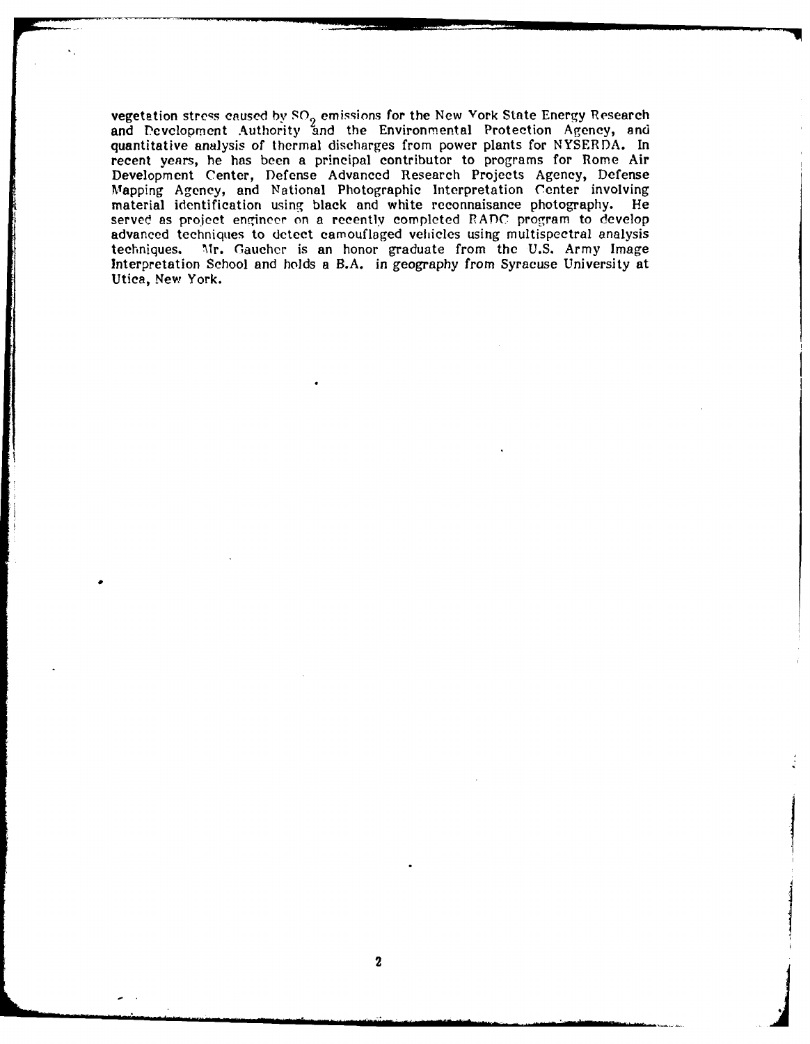vegetation strc;s caused **by SO2** emissions for the New York State Energy Research and Development Authority and the Environmental Protection Agency, and quantitative analysis of thermal discharges from power plants for NYSERDA. In recent years, he has been a principal contributor to programs for Rome Air Development Center, Defense Advanced Research Projects Agency, Defense Mapping Agency, and National Photographic Interpretation Center involving material identification using black and white reconnaisance photography. He served as project engineer on a recently completed RADC program to develop advanced techniques to detect camouflaged vehicles using multispectral analysis techniques. Mr. Gaucher is an honor graduate from the U.S. Army Image Interpretation School and holds a B.A. in geography from Syracuse University at Utica, New York.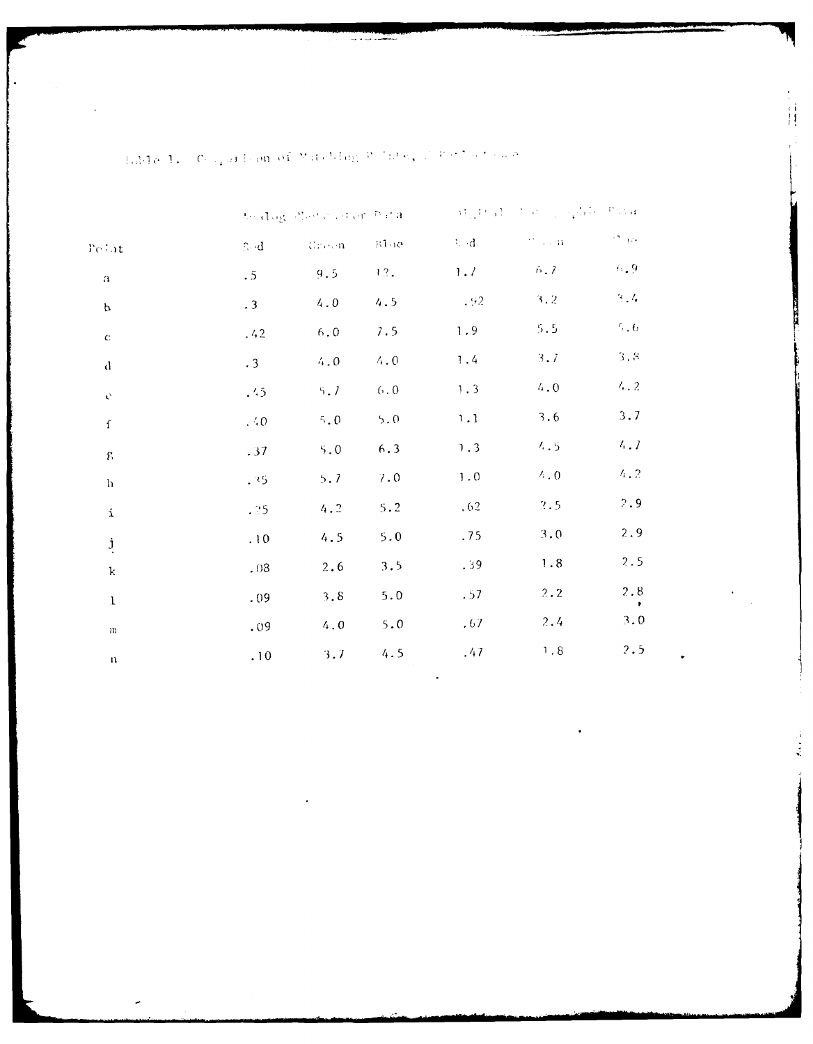|                    |                                        |              |               |           | worldg Posts of en Para and a Military and a subject to a |                            |  |  |
|--------------------|----------------------------------------|--------------|---------------|-----------|-----------------------------------------------------------|----------------------------|--|--|
| Pe∔at              | $\mathbb{R}\!\cdot\!\cdot\!\mathrm{d}$ | <b>Creen</b> | B100          | ेजी       | $U \sim 0.44$                                             | $\mathcal{O}(\mathcal{A})$ |  |  |
| $\mathbf a$        | .5 <sub>2</sub>                        | 9.5          | 12.           | $1.7 -$   | 6.7                                                       | $6$ , $9\,$                |  |  |
| $\mathbf{p}$       | $\cdot$ 3                              | $4\, .\,0$   | 4.5           | $-92$     | 3.2                                                       | 3,4                        |  |  |
| $\mathbf C$        | .42                                    | $6.0\,$      | 7.5           | 1.9       | $5.5\,$                                                   | $^{\rm r}$ . $6$           |  |  |
| $\mathbf d$        | .3 <sub>1</sub>                        | 4.0          | 4.0           | 1.4       | 3.7                                                       | $3\cdot 8$                 |  |  |
| $\mathbf{C}$       | .45                                    | 5.7          | $6 \, . \, 0$ | 1.3       | $4\cdot 0$                                                | 4.2                        |  |  |
| $\mathbf f$        | . $\ddot{\cdot}$ 0                     | $5,0$        | $5.0$         | 1.1       | 3.6                                                       | 3.7                        |  |  |
| $\mathbf{E}% _{0}$ | .37                                    | $5.0$        | 6.3           | 1.3       | 4.5                                                       | 4.7                        |  |  |
| $\hbox{h}$         | .35                                    | 5.7          | 7.0           | $\bf 1.0$ | $\land$ . $0$                                             | 4.2                        |  |  |
| $\mathbf{i}$       | .25                                    | 4.2          | 5.2           | .62       | 2.5                                                       | 2.9                        |  |  |
| $\mathbf{j}$       | .10                                    | 4.5          | 5.0           | .75       | 3.0                                                       | 2.9                        |  |  |
| $\bf k$            | .03                                    | 2.6          | 3.5           | .39       | 1.8                                                       | 2.5                        |  |  |
| $1\,$              | .09                                    | 3.8          | 5.0           | .57       | 2.2                                                       | $2\,.8$<br>$\bullet$       |  |  |
| $\rm m$            | .09                                    | 4.0          | 5.0           | .67       | 2.4                                                       | 3.0                        |  |  |
| $\mathbf{n}$       | .10                                    | 3.7          | 4.5           | .47       | $\,$ ! . 8 $\,$                                           | 2.5                        |  |  |
|                    |                                        |              |               |           |                                                           |                            |  |  |

. Eddle  $A_\sigma$  ,  $C_{\sigma, \alpha}$  and consort Muteblam  $\mathcal{P}$  , integral  $\mathcal{P}(\sigma^2,\sigma^2)$  and

Ĥ

ž,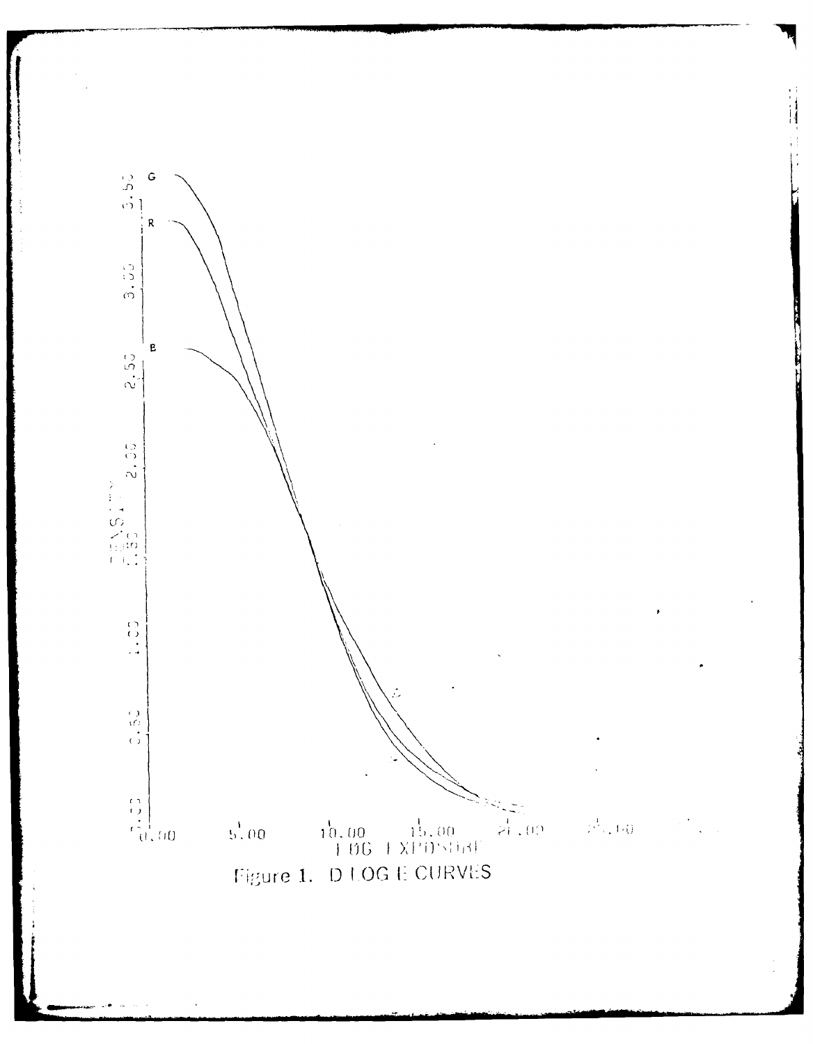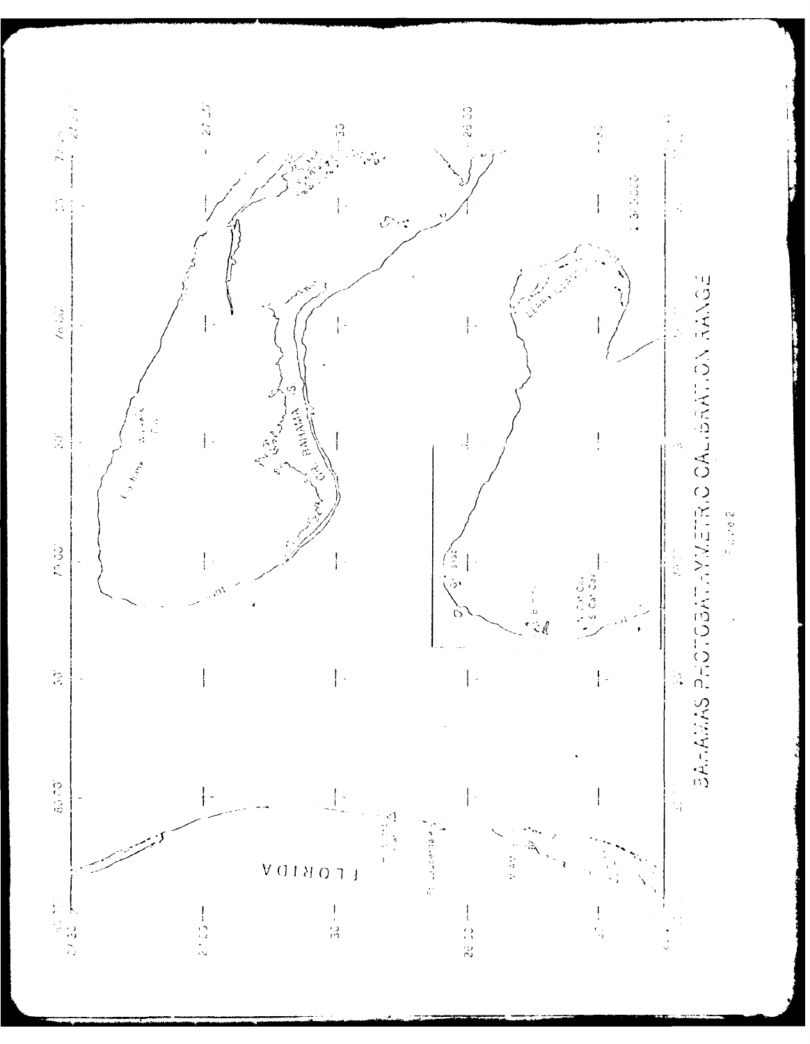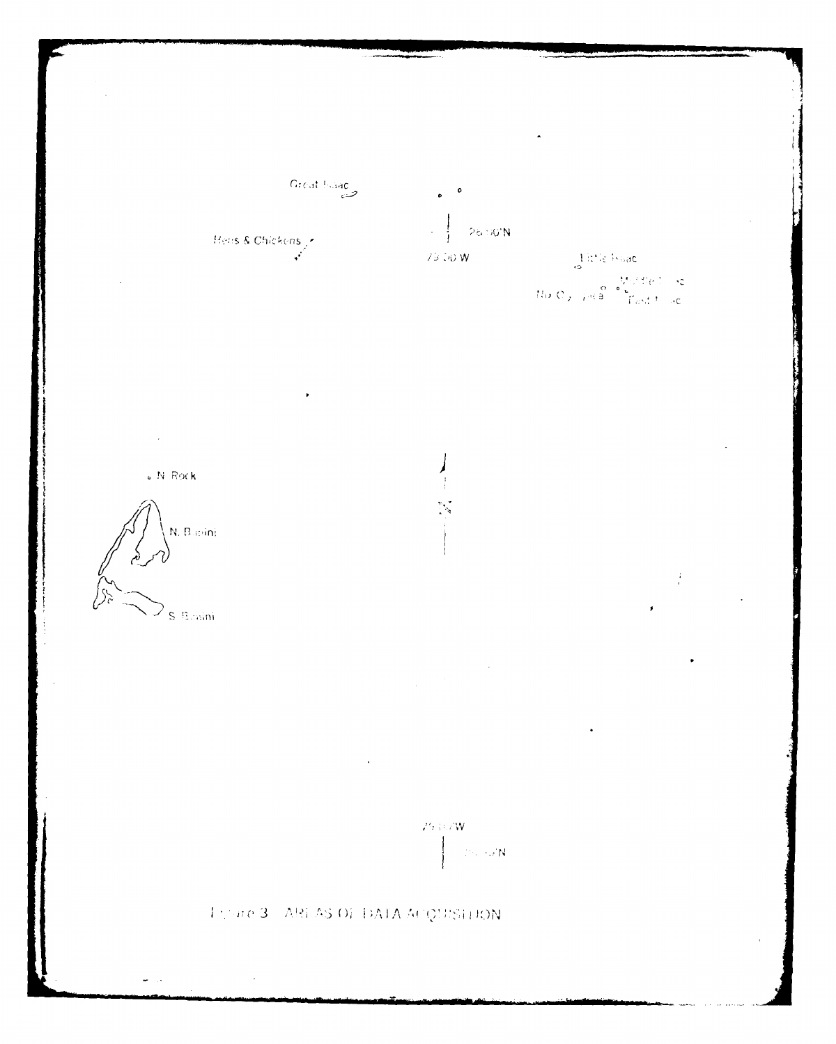



 $\bullet$  N. Rock



 $\frac{1}{\epsilon}$ 

 $\label{eq:2.1} \frac{1}{\sqrt{2\pi}}\int_{0}^{\infty}\frac{dx}{\sqrt{2\pi}}\,dx$ 

 $\mathcal{P}(\mathcal{A},\mathcal{A},\mathcal{W})$  $\langle \mathcal{D} \rangle$  sat $N$ 

Thome 3 - AREAS OF DATA ACQUISITION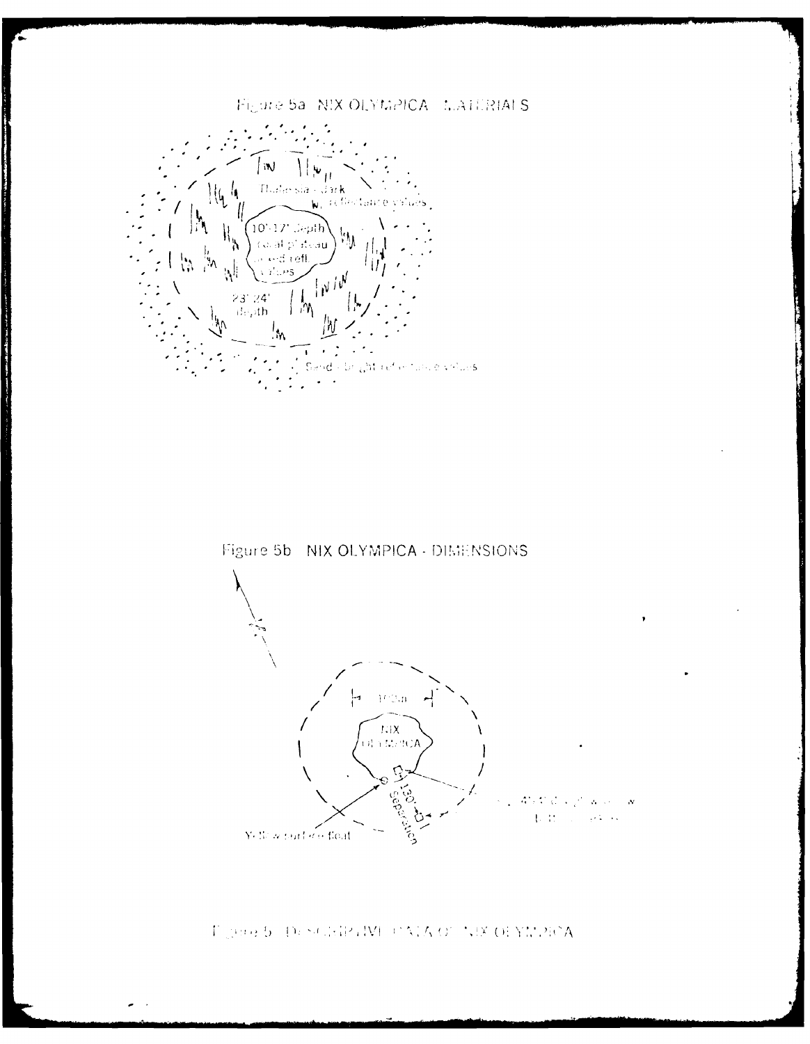# Figure 5a NIX OLYMPICA MATERIALS



the control of the second control of the second control of the second control of the second control of the second control of the second control of the second control of the second control of the second control of the secon



## Figure 5 Description (MECAIA OF NEX OFYNDROA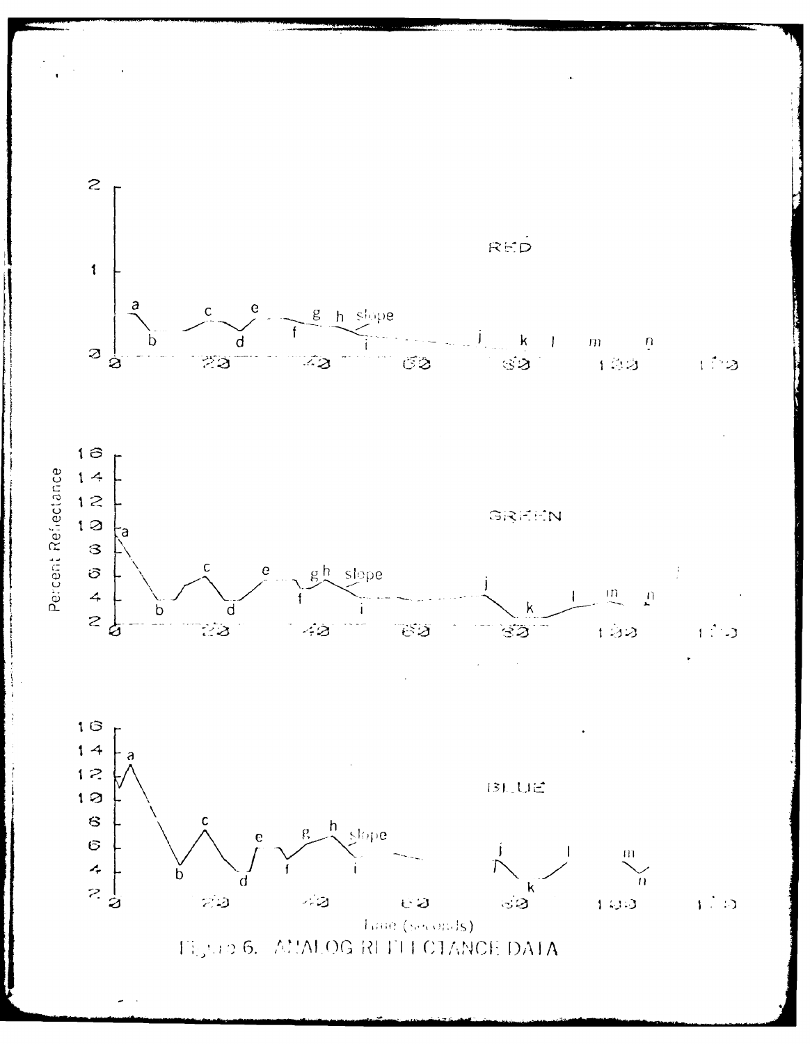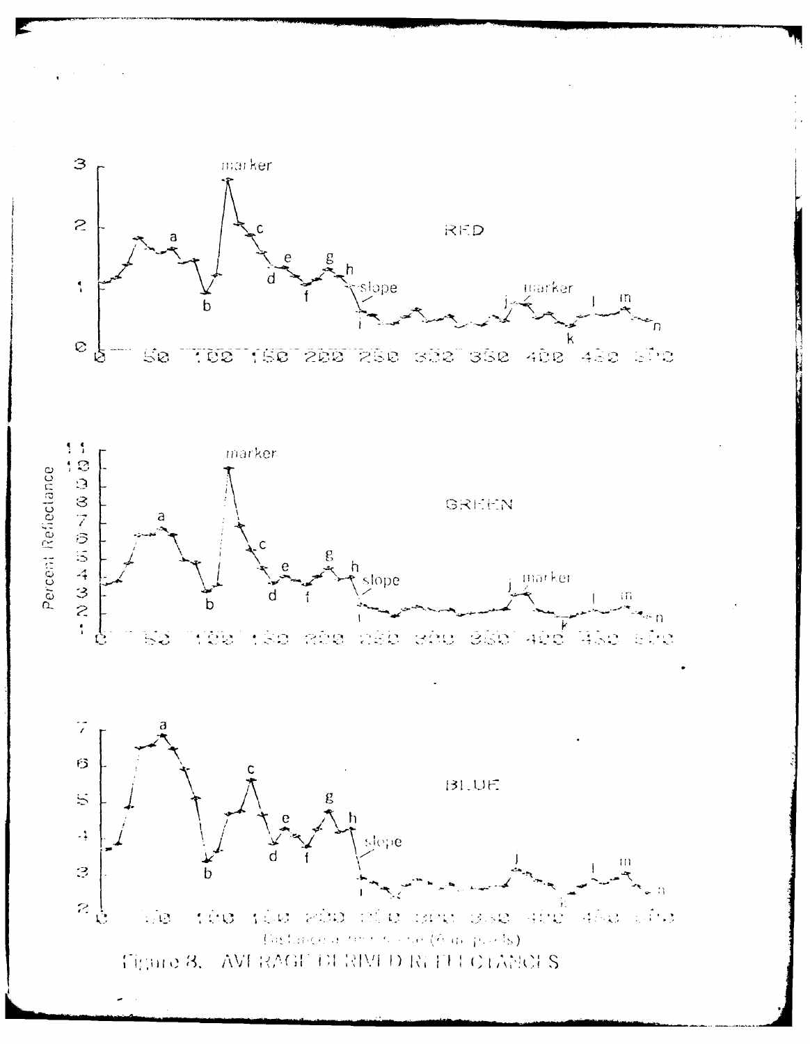